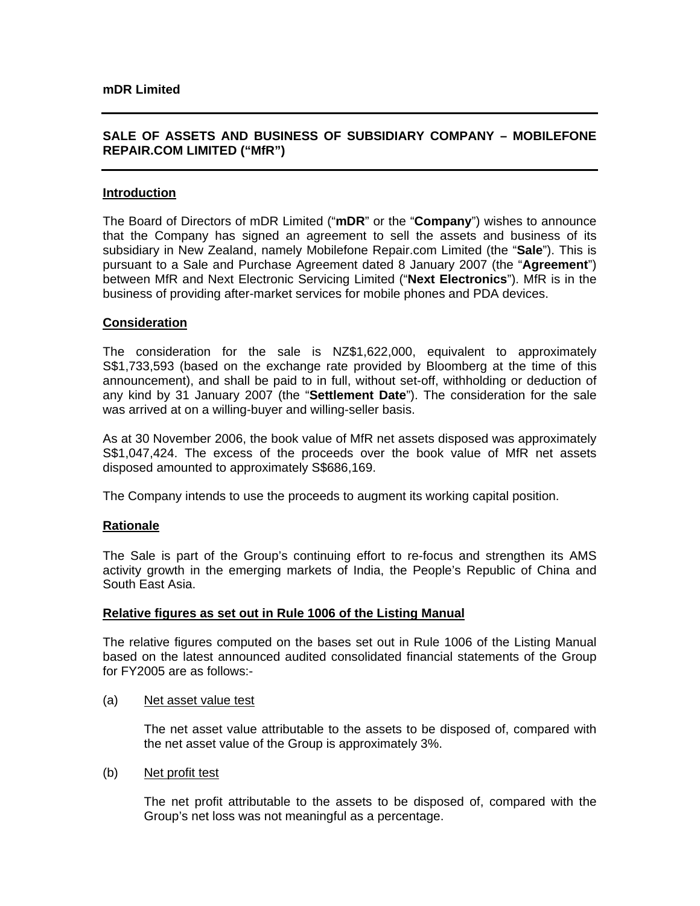# **SALE OF ASSETS AND BUSINESS OF SUBSIDIARY COMPANY – MOBILEFONE REPAIR.COM LIMITED ("MfR")**

### **Introduction**

The Board of Directors of mDR Limited ("**mDR**" or the "**Company**") wishes to announce that the Company has signed an agreement to sell the assets and business of its subsidiary in New Zealand, namely Mobilefone Repair.com Limited (the "**Sale**"). This is pursuant to a Sale and Purchase Agreement dated 8 January 2007 (the "**Agreement**") between MfR and Next Electronic Servicing Limited ("**Next Electronics**"). MfR is in the business of providing after-market services for mobile phones and PDA devices.

#### **Consideration**

The consideration for the sale is NZ\$1,622,000, equivalent to approximately S\$1,733,593 (based on the exchange rate provided by Bloomberg at the time of this announcement), and shall be paid to in full, without set-off, withholding or deduction of any kind by 31 January 2007 (the "**Settlement Date**"). The consideration for the sale was arrived at on a willing-buyer and willing-seller basis.

As at 30 November 2006, the book value of MfR net assets disposed was approximately S\$1,047,424. The excess of the proceeds over the book value of MfR net assets disposed amounted to approximately S\$686,169.

The Company intends to use the proceeds to augment its working capital position.

# **Rationale**

The Sale is part of the Group's continuing effort to re-focus and strengthen its AMS activity growth in the emerging markets of India, the People's Republic of China and South East Asia.

#### **Relative figures as set out in Rule 1006 of the Listing Manual**

The relative figures computed on the bases set out in Rule 1006 of the Listing Manual based on the latest announced audited consolidated financial statements of the Group for FY2005 are as follows:-

(a) Net asset value test

The net asset value attributable to the assets to be disposed of, compared with the net asset value of the Group is approximately 3%.

(b) Net profit test

The net profit attributable to the assets to be disposed of, compared with the Group's net loss was not meaningful as a percentage.